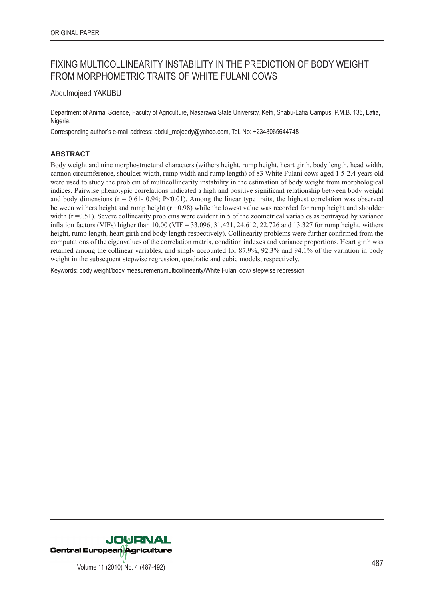# FIXING MULTICOLLINEARITY INSTABILITY IN THE PREDICTION OF BODY WEIGHT FROM MORPHOMETRIC TRAITS OF WHITE FULANI COWS

Abdulmojeed YAKUBU

Department of Animal Science, Faculty of Agriculture, Nasarawa State University, Keffi, Shabu-Lafia Campus, P.M.B. 135, Lafia, Nigeria.

Corresponding author's e-mail address: abdul\_mojeedy@yahoo.com, Tel. No: +2348065644748

# **ABSTRACT**

Body weight and nine morphostructural characters (withers height, rump height, heart girth, body length, head width, cannon circumference, shoulder width, rump width and rump length) of 83 White Fulani cows aged 1.5-2.4 years old were used to study the problem of multicollinearity instability in the estimation of body weight from morphological indices. Pairwise phenotypic correlations indicated a high and positive significant relationship between body weight and body dimensions ( $r = 0.61 - 0.94$ ;  $P < 0.01$ ). Among the linear type traits, the highest correlation was observed between withers height and rump height  $(r = 0.98)$  while the lowest value was recorded for rump height and shoulder width  $(r = 0.51)$ . Severe collinearity problems were evident in 5 of the zoometrical variables as portrayed by variance inflation factors (VIFs) higher than 10.00 (VIF = 33.096, 31.421, 24.612, 22.726 and 13.327 for rump height, withers height, rump length, heart girth and body length respectively). Collinearity problems were further confirmed from the computations of the eigenvalues of the correlation matrix, condition indexes and variance proportions. Heart girth was retained among the collinear variables, and singly accounted for 87.9%, 92.3% and 94.1% of the variation in body weight in the subsequent stepwise regression, quadratic and cubic models, respectively.

Keywords: body weight/body measurement/multicollinearity/White Fulani cow/ stepwise regression

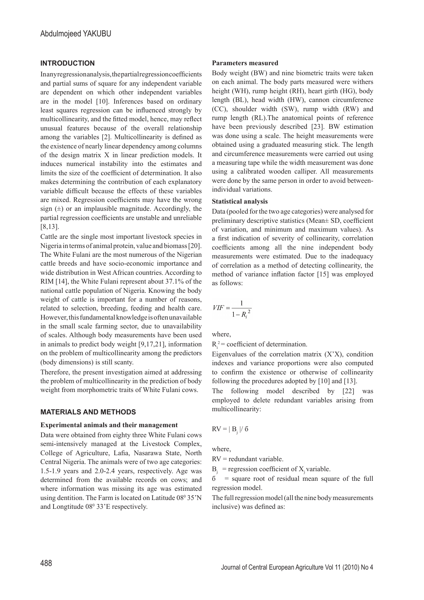## **INTRODUCTION**

In any regression analysis, the partial regression coefficients and partial sums of square for any independent variable are dependent on which other independent variables are in the model [10]. Inferences based on ordinary least squares regression can be influenced strongly by multicollinearity, and the fitted model, hence, may reflect unusual features because of the overall relationship among the variables [2]. Multicollinearity is defined as the existence of nearly linear dependency among columns of the design matrix X in linear prediction models. It induces numerical instability into the estimates and limits the size of the coefficient of determination. It also makes determining the contribution of each explanatory variable difficult because the effects of these variables are mixed. Regression coefficients may have the wrong sign  $(\pm)$  or an implausible magnitude. Accordingly, the partial regression coefficients are unstable and unreliable [8,13].

Cattle are the single most important livestock species in Nigeria in terms of animal protein, value and biomass [20]. The White Fulani are the most numerous of the Nigerian cattle breeds and have socio-economic importance and wide distribution in West African countries. According to RIM [14], the White Fulani represent about 37.1% of the national cattle population of Nigeria. Knowing the body weight of cattle is important for a number of reasons, related to selection, breeding, feeding and health care. However, this fundamental knowledge is often unavailable in the small scale farming sector, due to unavailability of scales. Although body measurements have been used in animals to predict body weight [9,17,21], information on the problem of multicollinearity among the predictors (body dimensions) is still scanty.

Therefore, the present investigation aimed at addressing the problem of multicollinearity in the prediction of body weight from morphometric traits of White Fulani cows.

## **MATERIALS AND METHODS**

## **Experimental animals and their management**

Data were obtained from eighty three White Fulani cows semi-intensively managed at the Livestock Complex, College of Agriculture, Lafia, Nasarawa State, North Central Nigeria. The animals were of two age categories: 1.5-1.9 years and 2.0-2.4 years, respectively. Age was determined from the available records on cows; and where information was missing its age was estimated using dentition. The Farm is located on Latitude 08<sup>0</sup> 35'N and Longtitude 080 33'E respectively.

#### **Parameters measured**

Body weight (BW) and nine biometric traits were taken on each animal. The body parts measured were withers height (WH), rump height (RH), heart girth (HG), body length (BL), head width (HW), cannon circumference (CC), shoulder width (SW), rump width (RW) and rump length (RL).The anatomical points of reference have been previously described [23]. BW estimation was done using a scale. The height measurements were obtained using a graduated measuring stick. The length and circumference measurements were carried out using a measuring tape while the width measurement was done using a calibrated wooden calliper. All measurements were done by the same person in order to avoid betweenindividual variations.

## **Statistical analysis**

Data (pooled for the two age categories) were analysed for preliminary descriptive statistics (Mean± SD, coefficient of variation, and minimum and maximum values). As a first indication of severity of collinearity, correlation coefficients among all the nine independent body measurements were estimated. Due to the inadequacy of correlation as a method of detecting collinearity, the method of variance inflation factor [15] was employed as follows:

$$
VIF = \frac{1}{1 - {R_i}^2}
$$

where,

 $R_i^2$  = coefficient of determination.

Eigenvalues of the correlation matrix  $(X'X)$ , condition indexes and variance proportions were also computed to confirm the existence or otherwise of collinearity following the procedures adopted by [10] and [13].

The following model described by [22] was employed to delete redundant variables arising from multicollinearity:

$$
RV = | B_j \mid / \delta
$$

where,

RV = redundant variable.

 $B_i$  = regression coefficient of X<sub>i</sub> variable.

 $=$  square root of residual mean square of the full regression model.

The full regression model (all the nine body measurements inclusive) was defined as: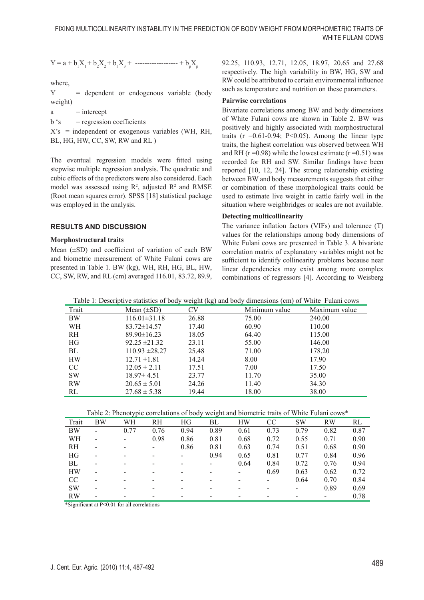$$
Y = a + b_1 X_1 + b_2 X_2 + b_3 X_3 + \dots + b_p X_p
$$

where,

Y = dependent or endogenous variable (body weight)

 $a =$ intercept

 $b \text{'s}$  = regression coefficients

 $X$ 's = independent or exogenous variables (WH, RH, BL, HG, HW, CC, SW, RW and RL)

The eventual regression models were fitted using stepwise multiple regression analysis. The quadratic and cubic effects of the predictors were also considered. Each model was assessed using  $\mathbb{R}^2$ , adjusted  $\mathbb{R}^2$  and RMSE (Root mean squares error). SPSS [18] statistical package was employed in the analysis.

# **RESULTS AND DISCUSSION**

#### **Morphostructural traits**

Mean  $(\pm SD)$  and coefficient of variation of each BW and biometric measurement of White Fulani cows are presented in Table 1. BW (kg), WH, RH, HG, BL, HW, CC, SW, RW, and RL (cm) averaged 116.01, 83.72, 89.9, 92.25, 110.93, 12.71, 12.05, 18.97, 20.65 and 27.68 respectively. The high variability in BW, HG, SW and RW could be attributed to certain environmental influence such as temperature and nutrition on these parameters.

#### **Pairwise correlations**

Bivariate correlations among BW and body dimensions of White Fulani cows are shown in Table 2. BW was positively and highly associated with morphostructural traits ( $r = 0.61 - 0.94$ ; P<0.05). Among the linear type traits, the highest correlation was observed between WH and RH ( $r = 0.98$ ) while the lowest estimate ( $r = 0.51$ ) was recorded for RH and SW. Similar findings have been reported [10, 12, 24]. The strong relationship existing between BW and body measurements suggests that either or combination of these morphological traits could be used to estimate live weight in cattle fairly well in the situation where weighbridges or scales are not available.

## **Detecting multicollinearity**

The variance inflation factors (VIFs) and tolerance (T) values for the relationships among body dimensions of White Fulani cows are presented in Table 3. A bivariate correlation matrix of explanatory variables might not be sufficient to identify collinearity problems because near linear dependencies may exist among more complex combinations of regressors [4]. According to Weisberg

| Table 1: Descriptive statistics of body weight (kg) and body dimensions (cm) of White Fulani cows |                  |       |               |               |  |  |  |  |
|---------------------------------------------------------------------------------------------------|------------------|-------|---------------|---------------|--|--|--|--|
| Trait                                                                                             | Mean $(\pm SD)$  | €V    | Minimum value | Maximum value |  |  |  |  |
| - BW                                                                                              | $116.01\pm31.18$ | 26.88 | 75.00         | 240.00        |  |  |  |  |

| — <del>"</del> | $110.01 + 21.10$   | 20.00 | 1.9.00 | $2 - 10.00$ |  |
|----------------|--------------------|-------|--------|-------------|--|
| WH             | $83.72 \pm 14.57$  | 17.40 | 60.90  | 110.00      |  |
| RH             | $89.90 \pm 16.23$  | 18.05 | 64.40  | 115.00      |  |
| HG             | $92.25 \pm 21.32$  | 23.11 | 55.00  | 146.00      |  |
| BL             | $110.93 \pm 28.27$ | 25.48 | 71.00  | 178.20      |  |
| <b>HW</b>      | $12.71 \pm 1.81$   | 14.24 | 8.00   | 17.90       |  |
| CC             | $12.05 \pm 2.11$   | 17.51 | 7.00   | 17.50       |  |
| <b>SW</b>      | $18.97 \pm 4.51$   | 23.77 | 11.70  | 35.00       |  |
| <b>RW</b>      | $20.65 \pm 5.01$   | 24.26 | 11.40  | 34.30       |  |
| RL             | $27.68 \pm 5.38$   | 19.44 | 18.00  | 38.00       |  |
|                |                    |       |        |             |  |

Table 2: Phenotypic correlations of body weight and biometric traits of White Fulani cows\*

| Trait         | BW                       | WH                       | <b>RH</b>                | HG                       | BL   | HW                       | <sub>CC</sub> | <b>SW</b> | <b>RW</b>       | RL   |
|---------------|--------------------------|--------------------------|--------------------------|--------------------------|------|--------------------------|---------------|-----------|-----------------|------|
| BW            | $\overline{\phantom{0}}$ | 0.77                     | 0.76                     | 0.94                     | 0.89 | 0.61                     | 0.73          | 0.79      | 0.82            | 0.87 |
| WН            |                          | $\overline{\phantom{a}}$ | 0.98                     | 0.86                     | 0.81 | 0.68                     | 0.72          | 0.55      | 0.71            | 0.90 |
| <b>RH</b>     | ۰                        | $\overline{\phantom{a}}$ | $\overline{\phantom{a}}$ | 0.86                     | 0.81 | 0.63                     | 0.74          | 0.51      | 0.68            | 0.90 |
| HG            |                          |                          |                          |                          | 0.94 | 0.65                     | 0.81          | 0.77      | 0.84            | 0.96 |
| BL            |                          |                          |                          |                          |      | 0.64                     | 0.84          | 0.72      | 0.76            | 0.94 |
| <b>HW</b>     | -                        | $\overline{\phantom{0}}$ | $\overline{\phantom{0}}$ | $\overline{\phantom{0}}$ |      | $\overline{\phantom{0}}$ | 0.69          | 0.63      | 0.62            | 0.72 |
| <sub>CC</sub> |                          |                          |                          |                          |      |                          |               | 0.64      | 0.70            | 0.84 |
| <b>SW</b>     |                          |                          |                          |                          |      |                          |               |           | 0.89            | 0.69 |
| <b>RW</b>     |                          |                          |                          |                          |      |                          |               |           | $\qquad \qquad$ | 0.78 |

\*Significant at P<0.01 for all correlations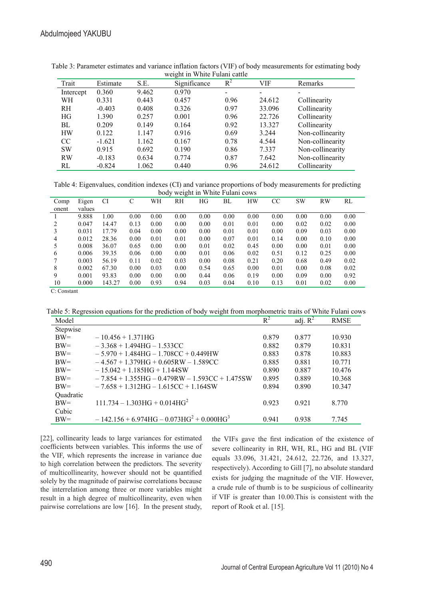| WUIGHT III WHITE PURAIII CANIU |          |       |              |       |        |                  |  |  |  |
|--------------------------------|----------|-------|--------------|-------|--------|------------------|--|--|--|
| Trait                          | Estimate | S.E.  | Significance | $R^2$ | VIF    | Remarks          |  |  |  |
| Intercept                      | 0.360    | 9.462 | 0.970        | -     |        |                  |  |  |  |
| WН                             | 0.331    | 0.443 | 0.457        | 0.96  | 24.612 | Collinearity     |  |  |  |
| <b>RH</b>                      | $-0.403$ | 0.408 | 0.326        | 0.97  | 33.096 | Collinearity     |  |  |  |
| HG                             | 1.390    | 0.257 | 0.001        | 0.96  | 22.726 | Collinearity     |  |  |  |
| BL                             | 0.209    | 0.149 | 0.164        | 0.92  | 13.327 | Collinearity     |  |  |  |
| <b>HW</b>                      | 0.122    | 1.147 | 0.916        | 0.69  | 3.244  | Non-collinearity |  |  |  |
| <sub>CC</sub>                  | $-1.621$ | 1.162 | 0.167        | 0.78  | 4.544  | Non-collinearity |  |  |  |
| <b>SW</b>                      | 0.915    | 0.692 | 0.190        | 0.86  | 7.337  | Non-collinearity |  |  |  |
| <b>RW</b>                      | $-0.183$ | 0.634 | 0.774        | 0.87  | 7.642  | Non-collinearity |  |  |  |
| RL                             | $-0.824$ | 1.062 | 0.440        | 0.96  | 24.612 | Collinearity     |  |  |  |

Table 3: Parameter estimates and variance inflation factors (VIF) of body measurements for estimating body weight in White Fulani cattle

Table 4: Eigenvalues, condition indexes (CI) and variance proportions of body measurements for predicting body weight in White Fulani cows

| $\sim$ $\sim$ $\sim$ $\,$<br>$\cdots$ |        |        |      |      |      |      |      |           |      |      |           |      |
|---------------------------------------|--------|--------|------|------|------|------|------|-----------|------|------|-----------|------|
| Comp                                  | Eigen  | CI     | C    | WН   | RH   | HG   | BL   | <b>HW</b> | CС   | SW   | <b>RW</b> | RL   |
| onent                                 | values |        |      |      |      |      |      |           |      |      |           |      |
|                                       | 9.888  | 1.00   | 0.00 | 0.00 | 0.00 | 0.00 | 0.00 | 0.00      | 0.00 | 0.00 | 0.00      | 0.00 |
| 2                                     | 0.047  | 14.47  | 0.13 | 0.00 | 0.00 | 0.00 | 0.01 | 0.01      | 0.00 | 0.02 | 0.02      | 0.00 |
| 3                                     | 0.031  | 17.79  | 0.04 | 0.00 | 0.00 | 0.00 | 0.01 | 0.01      | 0.00 | 0.09 | 0.03      | 0.00 |
| 4                                     | 0.012  | 28.36  | 0.00 | 0.01 | 0.01 | 0.00 | 0.07 | 0.01      | 0.14 | 0.00 | 0.10      | 0.00 |
| 5                                     | 0.008  | 36.07  | 0.65 | 0.00 | 0.00 | 0.01 | 0.02 | 0.45      | 0.00 | 0.00 | 0.01      | 0.00 |
| 6                                     | 0.006  | 39.35  | 0.06 | 0.00 | 0.00 | 0.01 | 0.06 | 0.02      | 0.51 | 0.12 | 0.25      | 0.00 |
|                                       | 0.003  | 56.19  | 0.11 | 0.02 | 0.03 | 0.00 | 0.08 | 0.21      | 0.20 | 0.68 | 0.49      | 0.02 |
| 8                                     | 0.002  | 67.30  | 0.00 | 0.03 | 0.00 | 0.54 | 0.65 | 0.00      | 0.01 | 0.00 | 0.08      | 0.02 |
| 9                                     | 0.001  | 93.83  | 0.00 | 0.00 | 0.00 | 0.44 | 0.06 | 0.19      | 0.00 | 0.09 | 0.00      | 0.92 |
| 10                                    | 0.000  | 143.27 | 0.00 | 0.93 | 0.94 | 0.03 | 0.04 | 0.10      | 0.13 | 0.01 | 0.02      | 0.00 |
| $\sim$ $\sim$                         |        |        |      |      |      |      |      |           |      |      |           |      |

C: Constant

Table 5: Regression equations for the prediction of body weight from morphometric traits of White Fulani cows

| Model     |                                                  | $R^2$ | adj. $R^2$ | <b>RMSE</b> |
|-----------|--------------------------------------------------|-------|------------|-------------|
| Stepwise  |                                                  |       |            |             |
| $BW=$     | $-10.456 + 1.371$ HG                             | 0.879 | 0.877      | 10.930      |
| $BW=$     | $-3.368 + 1.494$ HG $- 1.533$ CC                 | 0.882 | 0.879      | 10.831      |
| $BW=$     | $-5.970 + 1.484HG - 1.708CC + 0.449HW$           | 0.883 | 0.878      | 10.883      |
| $BW=$     | $-4.567 + 1.379$ HG + 0.605RW - 1.589CC          | 0.885 | 0.881      | 10.771      |
| $BW=$     | $-15.042 + 1.185$ HG + 1.144 SW                  | 0.890 | 0.887      | 10.476      |
| $BW=$     | $-7.854 + 1.355HG - 0.479RW - 1.593CC + 1.475SW$ | 0.895 | 0.889      | 10.368      |
| $BW=$     | $-7.658 + 1.312HG - 1.615CC + 1.164SW$           | 0.894 | 0.890      | 10.347      |
| Quadratic |                                                  |       |            |             |
| $BW=$     | $111.734 - 1.303HG + 0.014HG2$                   | 0.923 | 0.921      | 8.770       |
| Cubic     |                                                  |       |            |             |
| $BW=$     | $-142.156 + 6.974HG - 0.073HG^2 + 0.000HG^3$     | 0.941 | 0.938      | 7.745       |

[22], collinearity leads to large variances for estimated coefficients between variables. This informs the use of the VIF, which represents the increase in variance due to high correlation between the predictors. The severity of multicollinearity, however should not be quantified solely by the magnitude of pairwise correlations because the interrelation among three or more variables might result in a high degree of multicollinearity, even when pairwise correlations are low [16]. In the present study,

the VIFs gave the first indication of the existence of severe collinearity in RH, WH, RL, HG and BL (VIF equals 33.096, 31.421, 24.612, 22.726, and 13.327, respectively). According to Gill [7], no absolute standard exists for judging the magnitude of the VIF. However, a crude rule of thumb is to be suspicious of collinearity if VIF is greater than 10.00.This is consistent with the report of Rook et al. [15].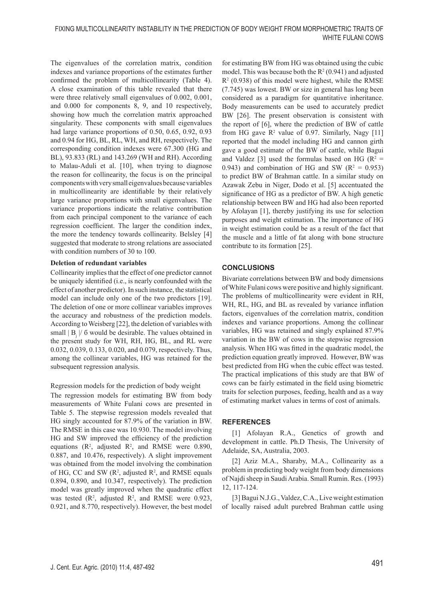The eigenvalues of the correlation matrix, condition indexes and variance proportions of the estimates further confirmed the problem of multicollinearity (Table 4). A close examination of this table revealed that there were three relatively small eigenvalues of 0.002, 0.001, and 0.000 for components 8, 9, and 10 respectively, showing how much the correlation matrix approached singularity. These components with small eigenvalues had large variance proportions of 0.50, 0.65, 0.92, 0.93 and 0.94 for HG, BL, RL, WH, and RH, respectively. The corresponding condition indexes were 67.300 (HG and BL), 93.833 (RL) and 143.269 (WH and RH). According to Malau-Aduli et al. [10], when trying to diagnose the reason for collinearity, the focus is on the principal components with very small eigenvalues because variables in multicollinearity are identifiable by their relatively large variance proportions with small eigenvalues. The variance proportions indicate the relative contribution from each principal component to the variance of each regression coefficient. The larger the condition index, the more the tendency towards collinearity. Belsley [4] suggested that moderate to strong relations are associated with condition numbers of 30 to 100.

## **Deletion of redundant variables**

Collinearity implies that the effect of one predictor cannot be uniquely identified (i.e., is nearly confounded with the effect of another predictor). In such instance, the statistical model can include only one of the two predictors [19]. The deletion of one or more collinear variables improves the accuracy and robustness of the prediction models. According to Weisberg [22], the deletion of variables with small  $|B_j|/6$  would be desirable. The values obtained in the present study for WH, RH, HG, BL, and RL were 0.032, 0.039, 0.133, 0.020, and 0.079, respectively. Thus, among the collinear variables, HG was retained for the subsequent regression analysis.

#### Regression models for the prediction of body weight

The regression models for estimating BW from body measurements of White Fulani cows are presented in Table 5. The stepwise regression models revealed that HG singly accounted for 87.9% of the variation in BW. The RMSE in this case was 10.930. The model involving HG and SW improved the efficiency of the prediction equations  $(R^2,$  adjusted  $R^2,$  and RMSE were 0.890, 0.887, and 10.476, respectively). A slight improvement was obtained from the model involving the combination of HG, CC and SW  $(R^2,$  adjusted  $R^2$ , and RMSE equals 0.894, 0.890, and 10.347, respectively). The prediction model was greatly improved when the quadratic effect was tested  $(R^2,$  adjusted  $R^2$ , and RMSE were 0.923, 0.921, and 8.770, respectively). However, the best model

for estimating BW from HG was obtained using the cubic model. This was because both the  $R^2(0.941)$  and adjusted  $R<sup>2</sup>$  (0.938) of this model were highest, while the RMSE (7.745) was lowest. BW or size in general has long been considered as a paradigm for quantitative inheritance. Body measurements can be used to accurately predict BW [26]. The present observation is consistent with the report of [6], where the prediction of BW of cattle from HG gave  $\mathbb{R}^2$  value of 0.97. Similarly, Nagy [11] reported that the model including HG and cannon girth gave a good estimate of the BW of cattle, while Bagui and Valdez [3] used the formulas based on HG ( $\mathbb{R}^2$  = 0.943) and combination of HG and SW ( $R^2 = 0.953$ ) to predict BW of Brahman cattle. In a similar study on Azawak Zebu in Niger, Dodo et al. [5] accentuated the significance of HG as a predictor of BW. A high genetic relationship between BW and HG had also been reported by Afolayan [1], thereby justifying its use for selection purposes and weight estimation. The importance of HG in weight estimation could be as a result of the fact that the muscle and a little of fat along with bone structure contribute to its formation [25].

# **CONCLUSIONS**

Bivariate correlations between BW and body dimensions of White Fulani cows were positive and highly significant. The problems of multicollinearity were evident in RH, WH, RL, HG, and BL as revealed by variance inflation factors, eigenvalues of the correlation matrix, condition indexes and variance proportions. Among the collinear variables, HG was retained and singly explained 87.9% variation in the BW of cows in the stepwise regression analysis. When HG was fitted in the quadratic model, the prediction equation greatly improved. However, BW was best predicted from HG when the cubic effect was tested. The practical implications of this study are that BW of cows can be fairly estimated in the field using biometric traits for selection purposes, feeding, health and as a way of estimating market values in terms of cost of animals.

## **REFERENCES**

[1] Afolayan R.A., Genetics of growth and development in cattle. Ph.D Thesis, The University of Adelaide, SA, Australia, 2003.

[2] Aziz M.A., Sharaby, M.A., Collinearity as a problem in predicting body weight from body dimensions of Najdi sheep in Saudi Arabia. Small Rumin. Res. (1993) 12, 117-124.

[3] Bagui N.J.G., Valdez, C.A., Live weight estimation of locally raised adult purebred Brahman cattle using